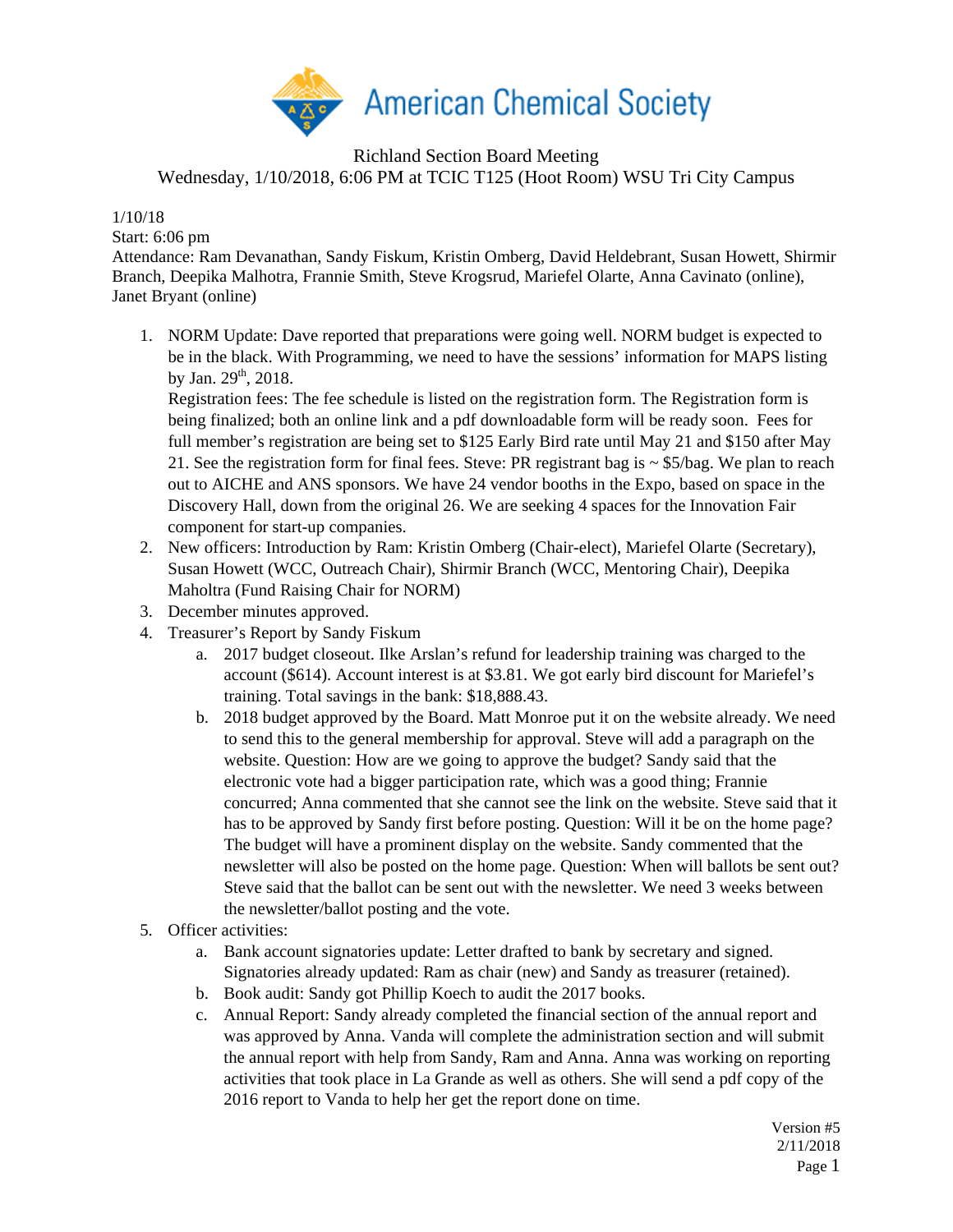

Richland Section Board Meeting Wednesday, 1/10/2018, 6:06 PM at TCIC T125 (Hoot Room) WSU Tri City Campus

## 1/10/18

Start: 6:06 pm

Attendance: Ram Devanathan, Sandy Fiskum, Kristin Omberg, David Heldebrant, Susan Howett, Shirmir Branch, Deepika Malhotra, Frannie Smith, Steve Krogsrud, Mariefel Olarte, Anna Cavinato (online), Janet Bryant (online)

1. NORM Update: Dave reported that preparations were going well. NORM budget is expected to be in the black. With Programming, we need to have the sessions' information for MAPS listing by Jan.  $29<sup>th</sup>$ , 2018.

Registration fees: The fee schedule is listed on the registration form. The Registration form is being finalized; both an online link and a pdf downloadable form will be ready soon. Fees for full member's registration are being set to \$125 Early Bird rate until May 21 and \$150 after May 21. See the registration form for final fees. Steve: PR registrant bag is  $\sim$  \$5/bag. We plan to reach out to AICHE and ANS sponsors. We have 24 vendor booths in the Expo, based on space in the Discovery Hall, down from the original 26. We are seeking 4 spaces for the Innovation Fair component for start-up companies.

- 2. New officers: Introduction by Ram: Kristin Omberg (Chair-elect), Mariefel Olarte (Secretary), Susan Howett (WCC, Outreach Chair), Shirmir Branch (WCC, Mentoring Chair), Deepika Maholtra (Fund Raising Chair for NORM)
- 3. December minutes approved.
- 4. Treasurer's Report by Sandy Fiskum
	- a. 2017 budget closeout. Ilke Arslan's refund for leadership training was charged to the account (\$614). Account interest is at \$3.81. We got early bird discount for Mariefel's training. Total savings in the bank: \$18,888.43.
	- b. 2018 budget approved by the Board. Matt Monroe put it on the website already. We need to send this to the general membership for approval. Steve will add a paragraph on the website. Question: How are we going to approve the budget? Sandy said that the electronic vote had a bigger participation rate, which was a good thing; Frannie concurred; Anna commented that she cannot see the link on the website. Steve said that it has to be approved by Sandy first before posting. Question: Will it be on the home page? The budget will have a prominent display on the website. Sandy commented that the newsletter will also be posted on the home page. Question: When will ballots be sent out? Steve said that the ballot can be sent out with the newsletter. We need 3 weeks between the newsletter/ballot posting and the vote.
- 5. Officer activities:
	- a. Bank account signatories update: Letter drafted to bank by secretary and signed. Signatories already updated: Ram as chair (new) and Sandy as treasurer (retained).
	- b. Book audit: Sandy got Phillip Koech to audit the 2017 books.
	- c. Annual Report: Sandy already completed the financial section of the annual report and was approved by Anna. Vanda will complete the administration section and will submit the annual report with help from Sandy, Ram and Anna. Anna was working on reporting activities that took place in La Grande as well as others. She will send a pdf copy of the 2016 report to Vanda to help her get the report done on time.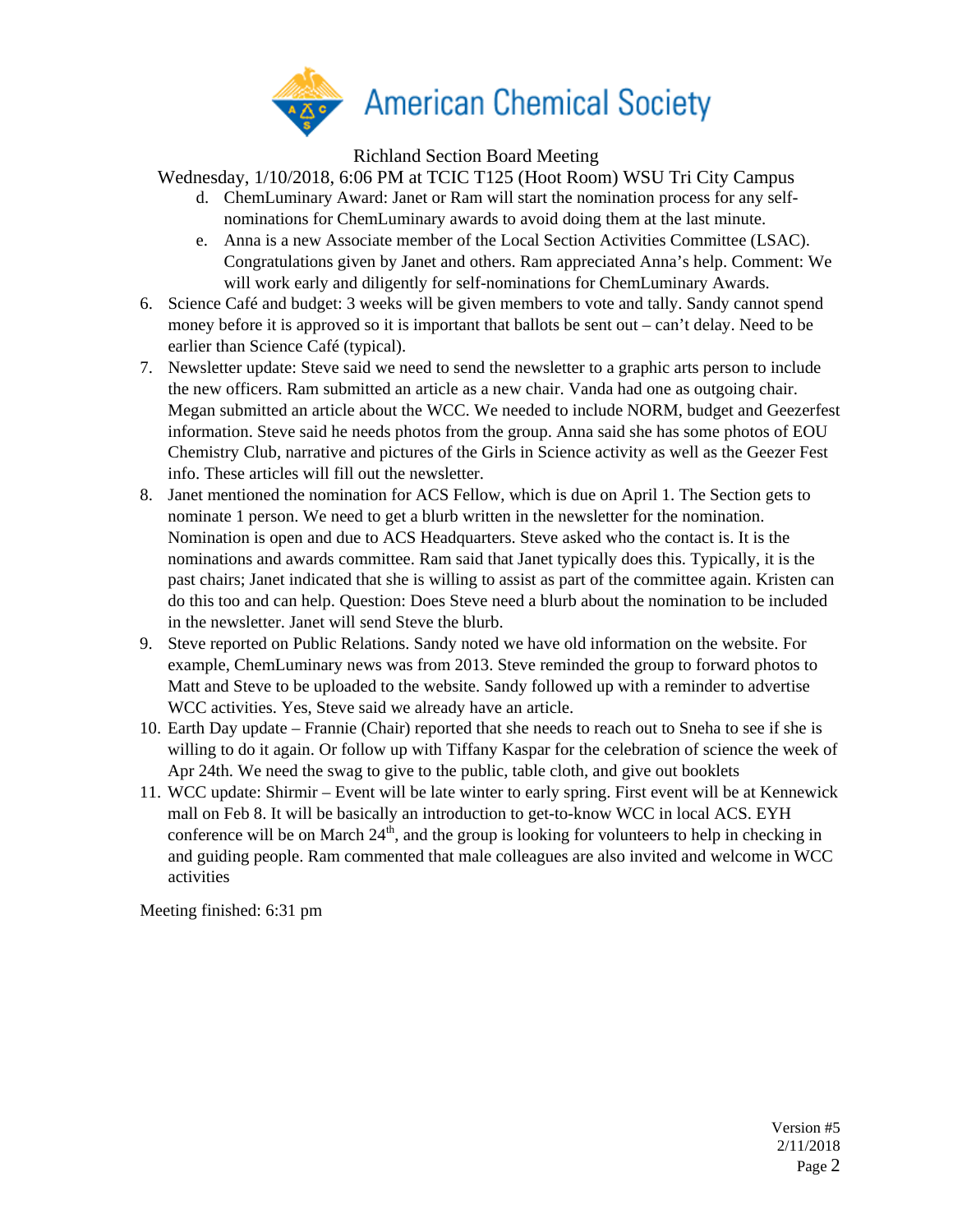

Richland Section Board Meeting

Wednesday, 1/10/2018, 6:06 PM at TCIC T125 (Hoot Room) WSU Tri City Campus

- d. ChemLuminary Award: Janet or Ram will start the nomination process for any selfnominations for ChemLuminary awards to avoid doing them at the last minute.
- e. Anna is a new Associate member of the Local Section Activities Committee (LSAC). Congratulations given by Janet and others. Ram appreciated Anna's help. Comment: We will work early and diligently for self-nominations for ChemLuminary Awards.
- 6. Science Café and budget: 3 weeks will be given members to vote and tally. Sandy cannot spend money before it is approved so it is important that ballots be sent out – can't delay. Need to be earlier than Science Café (typical).
- 7. Newsletter update: Steve said we need to send the newsletter to a graphic arts person to include the new officers. Ram submitted an article as a new chair. Vanda had one as outgoing chair. Megan submitted an article about the WCC. We needed to include NORM, budget and Geezerfest information. Steve said he needs photos from the group. Anna said she has some photos of EOU Chemistry Club, narrative and pictures of the Girls in Science activity as well as the Geezer Fest info. These articles will fill out the newsletter.
- 8. Janet mentioned the nomination for ACS Fellow, which is due on April 1. The Section gets to nominate 1 person. We need to get a blurb written in the newsletter for the nomination. Nomination is open and due to ACS Headquarters. Steve asked who the contact is. It is the nominations and awards committee. Ram said that Janet typically does this. Typically, it is the past chairs; Janet indicated that she is willing to assist as part of the committee again. Kristen can do this too and can help. Question: Does Steve need a blurb about the nomination to be included in the newsletter. Janet will send Steve the blurb.
- 9. Steve reported on Public Relations. Sandy noted we have old information on the website. For example, ChemLuminary news was from 2013. Steve reminded the group to forward photos to Matt and Steve to be uploaded to the website. Sandy followed up with a reminder to advertise WCC activities. Yes, Steve said we already have an article.
- 10. Earth Day update Frannie (Chair) reported that she needs to reach out to Sneha to see if she is willing to do it again. Or follow up with Tiffany Kaspar for the celebration of science the week of Apr 24th. We need the swag to give to the public, table cloth, and give out booklets
- 11. WCC update: Shirmir Event will be late winter to early spring. First event will be at Kennewick mall on Feb 8. It will be basically an introduction to get-to-know WCC in local ACS. EYH conference will be on March  $24<sup>th</sup>$ , and the group is looking for volunteers to help in checking in and guiding people. Ram commented that male colleagues are also invited and welcome in WCC activities

Meeting finished: 6:31 pm